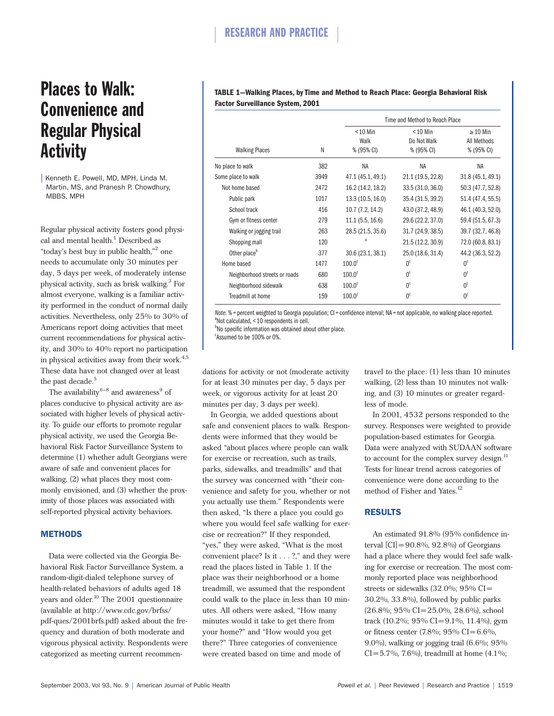# Places to Walk: Convenience and Regular Physical **Activity**

| Kenneth E. Powell, MD, MPH, Linda M. Martin, MS, and Pranesh P. Chowdhury, MBBS, MPH

Regular physical activity fosters good physical and mental health.<sup>1</sup> Described as "today's best buy in public health,"<sup>2</sup> one needs to accumulate only 30 minutes per day, 5 days per week, of moderately intense physical activity, such as brisk walking.<sup>3</sup> For almost everyone, walking is a familiar activity performed in the conduct of normal daily activities. Nevertheless, only 25% to 30% of Americans report doing activities that meet current recommendations for physical activity, and 30% to 40% report no participation in physical activities away from their work. $4,5$ These data have not changed over at least the past decade.<sup>5</sup>

The availability $6-8$  and awareness $9$  of places conducive to physical activity are associated with higher levels of physical activity. To guide our efforts to promote regular physical activity, we used the Georgia Behavioral Risk Factor Surveillance System to determine (1) whether adult Georgians were aware of safe and convenient places for walking, (2) what places they most commonly envisioned, and (3) whether the proximity of those places was associated with self-reported physical activity behaviors.

### **METHODS**

Data were collected via the Georgia Behavioral Risk Factor Surveillance System, a random-digit-dialed telephone survey of health-related behaviors of adults aged 18 years and older.<sup>10</sup> The 2001 questionnaire (available at http://www.cdc.gov/brfss/ pdf-ques/2001brfs.pdf) asked about the frequency and duration of both moderate and vigorous physical activity. Respondents were categorized as meeting current recommen-

# **TABLE 1—Walking Places, by Time and Method to Reach Place: Georgia Behavioral Risk Factor Surveillance System, 2001**

|                               |      | Time and Method to Reach Place   |                                         |                                            |  |
|-------------------------------|------|----------------------------------|-----------------------------------------|--------------------------------------------|--|
| <b>Walking Places</b>         | N    | $< 10$ Min<br>Walk<br>% (95% CI) | $< 10$ Min<br>Do Not Walk<br>% (95% CI) | $\geq$ 10 Min<br>All Methods<br>% (95% CI) |  |
| No place to walk              | 382  | NA                               | NA                                      | <b>NA</b>                                  |  |
| Some place to walk            | 3949 | 47.1 (45.1, 49.1)                | 21.1 (19.5, 22.8)                       | 31.8 (45.1, 49.1)                          |  |
| Not home based                | 2472 | 16.2 (14.2, 18.2)                | 33.5 (31.0, 36.0)                       | 50.3 (47.7, 52.8)                          |  |
| Public park                   | 1017 | 13.3 (10.5, 16.0)                | 35.4 (31.5, 39.2)                       | 51.4 (47.4, 55.5)                          |  |
| School track                  | 416  | 10.7 (7.2, 14.2)                 | 43.0 (37.2, 48.9)                       | 46.1 (40.3, 52.0)                          |  |
| Gym or fitness center         | 279  | 11.1(5.5, 16.6)                  | 29.6 (22.2, 37.0)                       | 59.4 (51.5, 67.3)                          |  |
| Walking or jogging trail      | 263  | 28.5 (21.5, 35.6)                | 31.7 (24.9, 38.5)                       | 39.7 (32.7, 46.8)                          |  |
| Shopping mall                 | 120  | a                                | 21.5 (12.2, 30.9)                       | 72.0 (60.8, 83.1)                          |  |
| Other place <sup>b</sup>      | 377  | 30.6 (23.1, 38.1)                | 25.0 (18.6, 31.4)                       | 44.2 (36.3, 52.2)                          |  |
| Home based                    | 1477 | 100.0 <sup>c</sup>               | 0 <sup>c</sup>                          | 0 <sup>c</sup>                             |  |
| Neighborhood streets or roads | 680  | 100.0 <sup>c</sup>               | 0 <sup>c</sup>                          | 0 <sup>c</sup>                             |  |
| Neighborhood sidewalk         | 638  | 100.0 <sup>c</sup>               | 0 <sup>c</sup>                          | 0 <sup>c</sup>                             |  |
| Treadmill at home             | 159  | 100.0 <sup>c</sup>               | 0 <sup>c</sup>                          | 0 <sup>c</sup>                             |  |

*Note.* % = percent weighted to Georgia population; CI = confidence interval; NA = not applicable, no walking place reported. Not calculated, < 10 respondents in cell.

<sup>b</sup>No specific information was obtained about other place.

c Assumed to be 100% or 0%.

dations for activity or not (moderate activity for at least 30 minutes per day, 5 days per week, or vigorous activity for at least 20 minutes per day, 3 days per week).

In Georgia, we added questions about safe and convenient places to walk. Respondents were informed that they would be asked "about places where people can walk for exercise or recreation, such as trails, parks, sidewalks, and treadmills" and that the survey was concerned with "their convenience and safety for you, whether or not you actually use them." Respondents were then asked, "Is there a place you could go where you would feel safe walking for exercise or recreation?" If they responded, "yes," they were asked, "What is the most convenient place? Is it . . . ?," and they were read the places listed in Table 1. If the place was their neighborhood or a home treadmill, we assumed that the respondent could walk to the place in less than 10 minutes. All others were asked, "How many minutes would it take to get there from your home?" and "How would you get there?" Three categories of convenience were created based on time and mode of

travel to the place: (1) less than 10 minutes walking, (2) less than 10 minutes not walking, and (3) 10 minutes or greater regardless of mode.

In 2001, 4532 persons responded to the survey. Responses were weighted to provide population-based estimates for Georgia. Data were analyzed with SUDAAN software to account for the complex survey design.<sup>11</sup> Tests for linear trend across categories of convenience were done according to the method of Fisher and Yates.<sup>12</sup>

# RESULTS

An estimated 91.8% (95% confidence interval  $\text{[CI]} = 90.8\%$ , 92.8%) of Georgians had a place where they would feel safe walking for exercise or recreation. The most commonly reported place was neighborhood streets or sidewalks  $(32.0\%; 95\% \text{ CI} =$ 30.2%, 33.8%), followed by public parks (26.8%; 95% CI=25.0%, 28.6%), school track (10.2%; 95% CI=9.1%, 11.4%), gym or fitness center (7.8%; 95% CI=6.6%, 9.0%), walking or jogging trail (6.6%; 95%  $CI = 5.7\%$ , 7.6%), treadmill at home (4.1%;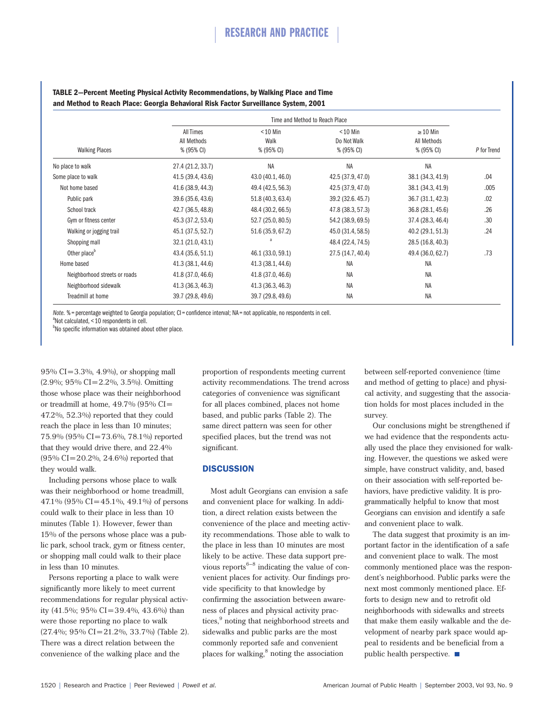| <b>Walking Places</b>         | Time and Method to Reach Place                |                                  |                                         |                                            |             |
|-------------------------------|-----------------------------------------------|----------------------------------|-----------------------------------------|--------------------------------------------|-------------|
|                               | <b>All Times</b><br>All Methods<br>% (95% CI) | $< 10$ Min<br>Walk<br>% (95% CI) | $< 10$ Min<br>Do Not Walk<br>% (95% CI) | $\geq$ 10 Min<br>All Methods<br>% (95% CI) | P for Trend |
| No place to walk              | 27.4 (21.2, 33.7)                             | <b>NA</b>                        | <b>NA</b>                               | <b>NA</b>                                  |             |
| Some place to walk            | 41.5 (39.4, 43.6)                             | 43.0 (40.1, 46.0)                | 42.5 (37.9, 47.0)                       | 38.1 (34.3, 41.9)                          | .04         |
| Not home based                | 41.6 (38.9, 44.3)                             | 49.4 (42.5, 56.3)                | 42.5 (37.9, 47.0)                       | 38.1 (34.3, 41.9)                          | .005        |
| Public park                   | 39.6 (35.6, 43.6)                             | 51.8 (40.3, 63.4)                | 39.2 (32.6.45.7)                        | 36.7 (31.1, 42.3)                          | .02         |
| School track                  | 42.7 (36.5, 48.8)                             | 48.4 (30.2, 66.5)                | 47.8 (38.3, 57.3)                       | 36.8 (28.1, 45.6)                          | .26         |
| Gym or fitness center         | 45.3 (37.2, 53.4)                             | 52.7 (25.0, 80.5)                | 54.2 (38.9, 69.5)                       | 37.4 (28.3, 46.4)                          | .30         |
| Walking or jogging trail      | 45.1 (37.5, 52.7)                             | 51.6 (35.9, 67.2)                | 45.0 (31.4, 58.5)                       | 40.2 (29.1, 51.3)                          | .24         |
| Shopping mall                 | 32.1 (21.0, 43.1)                             | a                                | 48.4 (22.4, 74.5)                       | 28.5 (16.8, 40.3)                          |             |
| Other place <sup>b</sup>      | 43.4 (35.6, 51.1)                             | 46.1 (33.0, 59.1)                | 27.5 (14.7, 40.4)                       | 49.4 (36.0, 62.7)                          | .73         |
| Home based                    | 41.3 (38.1, 44.6)                             | 41.3 (38.1, 44.6)                | <b>NA</b>                               | NA                                         |             |
| Neighborhood streets or roads | 41.8 (37.0, 46.6)                             | 41.8 (37.0, 46.6)                | <b>NA</b>                               | <b>NA</b>                                  |             |
| Neighborhood sidewalk         | 41.3 (36.3, 46.3)                             | 41.3 (36.3, 46.3)                | <b>NA</b>                               | NA                                         |             |
| Treadmill at home             | 39.7 (29.8, 49.6)                             | 39.7 (29.8, 49.6)                | <b>NA</b>                               | <b>NA</b>                                  |             |

### **TABLE 2—Percent Meeting Physical Activity Recommendations, by Walking Place and Time and Method to Reach Place: Georgia Behavioral Risk Factor Surveillance System, 2001**

*Note.* % = percentage weighted to Georgia population; CI = confidence interval; NA = not applicable, no respondents in cell. Not calculated, < 10 respondents in cell.

<sup>b</sup>No specific information was obtained about other place.

95% CI=3.3%, 4.9%), or shopping mall (2.9%; 95% CI=2.2%, 3.5%). Omitting those whose place was their neighborhood or treadmill at home,  $49.7\%$  (95% CI= 47.2%, 52.3%) reported that they could reach the place in less than 10 minutes; 75.9% (95% CI=73.6%, 78.1%) reported that they would drive there, and 22.4% (95% CI=20.2%, 24.6%) reported that they would walk.

Including persons whose place to walk was their neighborhood or home treadmill, 47.1% (95% CI=45.1%, 49.1%) of persons could walk to their place in less than 10 minutes (Table 1). However, fewer than 15% of the persons whose place was a public park, school track, gym or fitness center, or shopping mall could walk to their place in less than 10 minutes.

Persons reporting a place to walk were significantly more likely to meet current recommendations for regular physical activity  $(41.5\%; 95\% \text{ CI} = 39.4\%, 43.6\%)$  than were those reporting no place to walk  $(27.4\%; 95\% \text{ CI} = 21.2\%, 33.7\%)$  (Table 2). There was a direct relation between the convenience of the walking place and the

proportion of respondents meeting current activity recommendations. The trend across categories of convenience was significant for all places combined, places not home based, and public parks (Table 2). The same direct pattern was seen for other specified places, but the trend was not significant.

### **DISCUSSION**

Most adult Georgians can envision a safe and convenient place for walking. In addition, a direct relation exists between the convenience of the place and meeting activity recommendations. Those able to walk to the place in less than 10 minutes are most likely to be active. These data support previous reports $6-8$  indicating the value of convenient places for activity. Our findings provide specificity to that knowledge by confirming the association between awareness of places and physical activity practices,<sup>9</sup> noting that neighborhood streets and sidewalks and public parks are the most commonly reported safe and convenient places for walking,<sup>8</sup> noting the association

between self-reported convenience (time and method of getting to place) and physical activity, and suggesting that the association holds for most places included in the survey.

Our conclusions might be strengthened if we had evidence that the respondents actually used the place they envisioned for walking. However, the questions we asked were simple, have construct validity, and, based on their association with self-reported behaviors, have predictive validity. It is programmatically helpful to know that most Georgians can envision and identify a safe and convenient place to walk.

The data suggest that proximity is an important factor in the identification of a safe and convenient place to walk. The most commonly mentioned place was the respondent's neighborhood. Public parks were the next most commonly mentioned place. Efforts to design new and to retrofit old neighborhoods with sidewalks and streets that make them easily walkable and the development of nearby park space would appeal to residents and be beneficial from a public health perspective.  $\blacksquare$